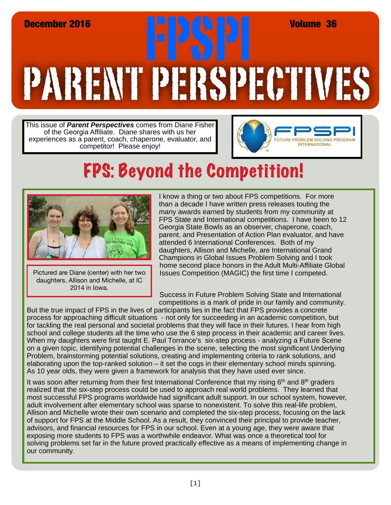## PARENT PERSPECTIVES December 2016<br>**Expires 1999** FPSPI Volume 36<br>Records and Records 1999 FPSPI Volume 36

This issue of *Parent Perspectives* comes from Diane Fisher of the Georgia Affiliate. Diane shares with us her experiences as a parent, coach, chaperone, evaluator, and competitor! Please enjoy!



## FPS: Beyond the Competition!



Pictured are Diane (center) with her two daughters, Allison and Michelle, at IC 2014 in Iowa.

I know a thing or two about FPS competitions. For more than a decade I have written press releases touting the many awards earned by students from my community at FPS State and International competitions. I have been to 12 Georgia State Bowls as an observer, chaperone, coach, parent, and Presentation of Action Plan evaluator, and have attended 6 International Conferences. Both of my daughters, Allison and Michelle, are International Grand Champions in Global Issues Problem Solving and I took home second place honors in the Adult Multi-Affiliate Global Issues Competition (MAGIC) the first time I competed.

Success in Future Problem Solving State and International competitions is a mark of pride in our family and community.

But the true impact of FPS in the lives of participants lies in the fact that FPS provides a concrete process for approaching difficult situations - not only for succeeding in an academic competition, but for tackling the real personal and societal problems that they will face in their futures. I hear from high school and college students all the time who use the 6 step process in their academic and career lives. When my daughters were first taught E. Paul Torrance's six-step process - analyzing a Future Scene on a given topic, identifying potential challenges in the scene, selecting the most significant Underlying Problem, brainstorming potential solutions, creating and implementing criteria to rank solutions, and elaborating upon the top-ranked solution – it set the cogs in their elementary school minds spinning. As 10 year olds, they were given a framework for analysis that they have used ever since.

It was soon after returning from their first International Conference that my rising  $6<sup>th</sup>$  and  $8<sup>th</sup>$  graders realized that the six-step process could be used to approach real world problems. They learned that most successful FPS programs worldwide had significant adult support. In our school system, however, adult involvement after elementary school was sparse to nonexistent. To solve this real-life problem, Allison and Michelle wrote their own scenario and completed the six-step process, focusing on the lack of support for FPS at the Middle School. As a result, they convinced their principal to provide teacher, advisors, and financial resources for FPS in our school. Even at a young age, they were aware that exposing more students to FPS was a worthwhile endeavor. What was once a theoretical tool for solving problems set far in the future proved practically effective as a means of implementing change in our community.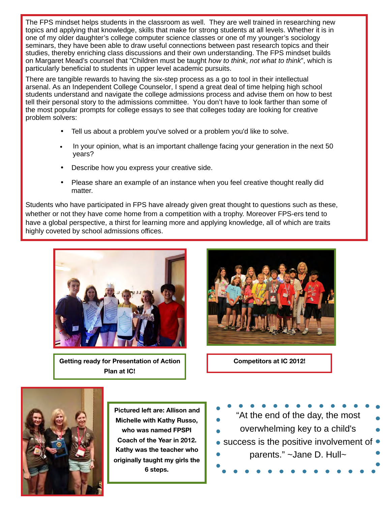The FPS mindset helps students in the classroom as well. They are well trained in researching new topics and applying that knowledge, skills that make for strong students at all levels. Whether it is in one of my older daughter's college computer science classes or one of my younger's sociology seminars, they have been able to draw useful connections between past research topics and their studies, thereby enriching class discussions and their own understanding. The FPS mindset builds on Margaret Mead's counsel that "Children must be taught *how to think*, *not what to think*", which is particularly beneficial to students in upper level academic pursuits.

There are tangible rewards to having the six-step process as a go to tool in their intellectual arsenal. As an Independent College Counselor, I spend a great deal of time helping high school students understand and navigate the college admissions process and advise them on how to best tell their personal story to the admissions committee. You don't have to look farther than some of the most popular prompts for college essays to see that colleges today are looking for creative problem solvers:

- Tell us about a problem you've solved or a problem you'd like to solve.
- In your opinion, what is an important challenge facing your generation in the next 50 years?
- Describe how you express your creative side.
- Please share an example of an instance when you feel creative thought really did matter.

Students who have participated in FPS have already given great thought to questions such as these, whether or not they have come home from a competition with a trophy. Moreover FPS-ers tend to have a global perspective, a thirst for learning more and applying knowledge, all of which are traits highly coveted by school admissions offices.



**Getting ready for Presentation of Action Plan at IC!**



**Competitors at IC 2012!**



**Pictured left are: Allison and Michelle with Kathy Russo, who was named FPSPI Coach of the Year in 2012. Kathy was the teacher who originally taught my girls the 6 steps.**